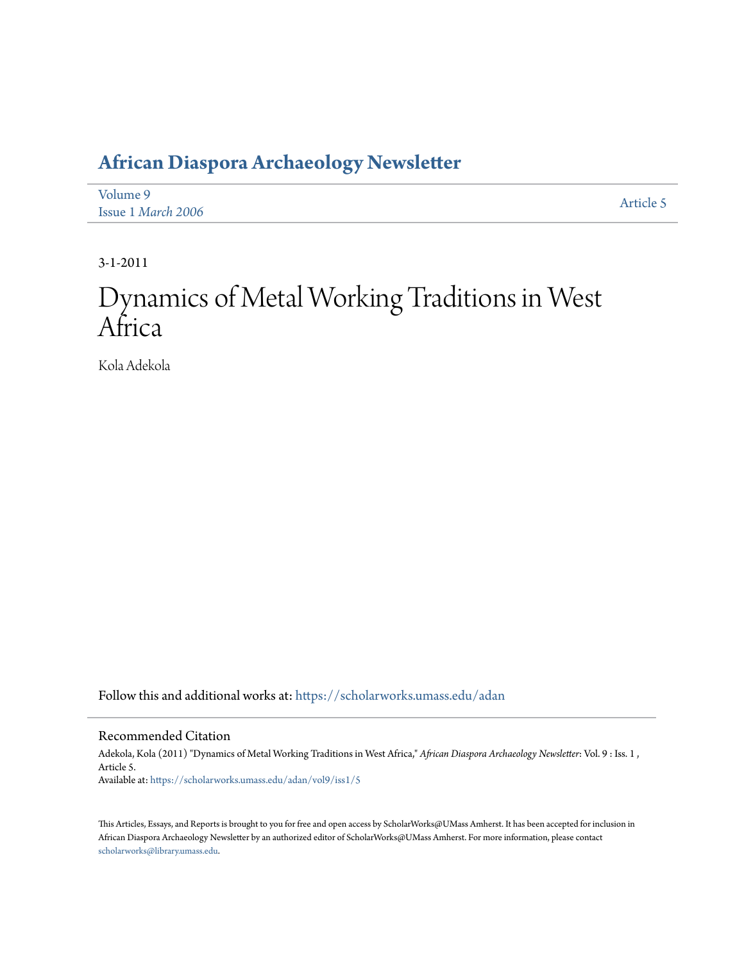## **[African Diaspora Archaeology Newsletter](https://scholarworks.umass.edu/adan?utm_source=scholarworks.umass.edu%2Fadan%2Fvol9%2Fiss1%2F5&utm_medium=PDF&utm_campaign=PDFCoverPages)**

| Volume 9           | Article 5 |
|--------------------|-----------|
| Issue 1 March 2006 |           |

3-1-2011

# Dynamics of Metal Working Traditions in West Africa

Kola Adekola

Follow this and additional works at: [https://scholarworks.umass.edu/adan](https://scholarworks.umass.edu/adan?utm_source=scholarworks.umass.edu%2Fadan%2Fvol9%2Fiss1%2F5&utm_medium=PDF&utm_campaign=PDFCoverPages)

#### Recommended Citation

Adekola, Kola (2011) "Dynamics of Metal Working Traditions in West Africa," *African Diaspora Archaeology Newsletter*: Vol. 9 : Iss. 1 , Article 5. Available at: [https://scholarworks.umass.edu/adan/vol9/iss1/5](https://scholarworks.umass.edu/adan/vol9/iss1/5?utm_source=scholarworks.umass.edu%2Fadan%2Fvol9%2Fiss1%2F5&utm_medium=PDF&utm_campaign=PDFCoverPages)

This Articles, Essays, and Reports is brought to you for free and open access by ScholarWorks@UMass Amherst. It has been accepted for inclusion in African Diaspora Archaeology Newsletter by an authorized editor of ScholarWorks@UMass Amherst. For more information, please contact [scholarworks@library.umass.edu](mailto:scholarworks@library.umass.edu).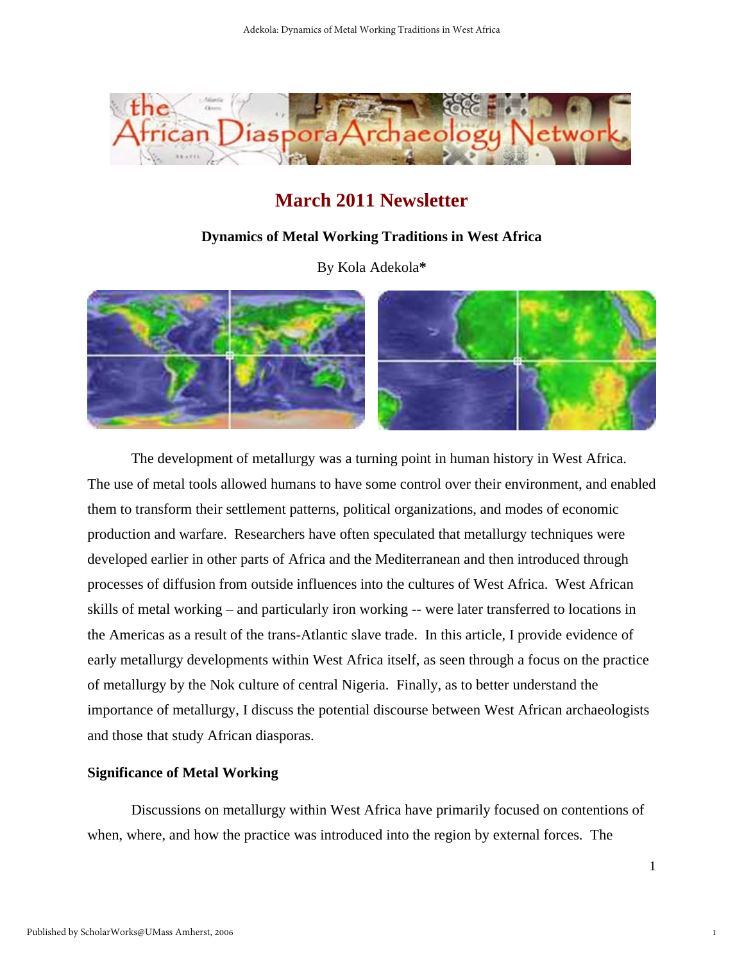

### **March 2011 Newsletter**

#### **Dynamics of Metal Working Traditions in West Africa**

By Kola Adekola**\*** 



The development of metallurgy was a turning point in human history in West Africa. The use of metal tools allowed humans to have some control over their environment, and enabled them to transform their settlement patterns, political organizations, and modes of economic production and warfare. Researchers have often speculated that metallurgy techniques were developed earlier in other parts of Africa and the Mediterranean and then introduced through processes of diffusion from outside influences into the cultures of West Africa. West African skills of metal working – and particularly iron working -- were later transferred to locations in the Americas as a result of the trans-Atlantic slave trade. In this article, I provide evidence of early metallurgy developments within West Africa itself, as seen through a focus on the practice of metallurgy by the Nok culture of central Nigeria. Finally, as to better understand the importance of metallurgy, I discuss the potential discourse between West African archaeologists and those that study African diasporas.

#### **Significance of Metal Working**

Discussions on metallurgy within West Africa have primarily focused on contentions of when, where, and how the practice was introduced into the region by external forces. The

1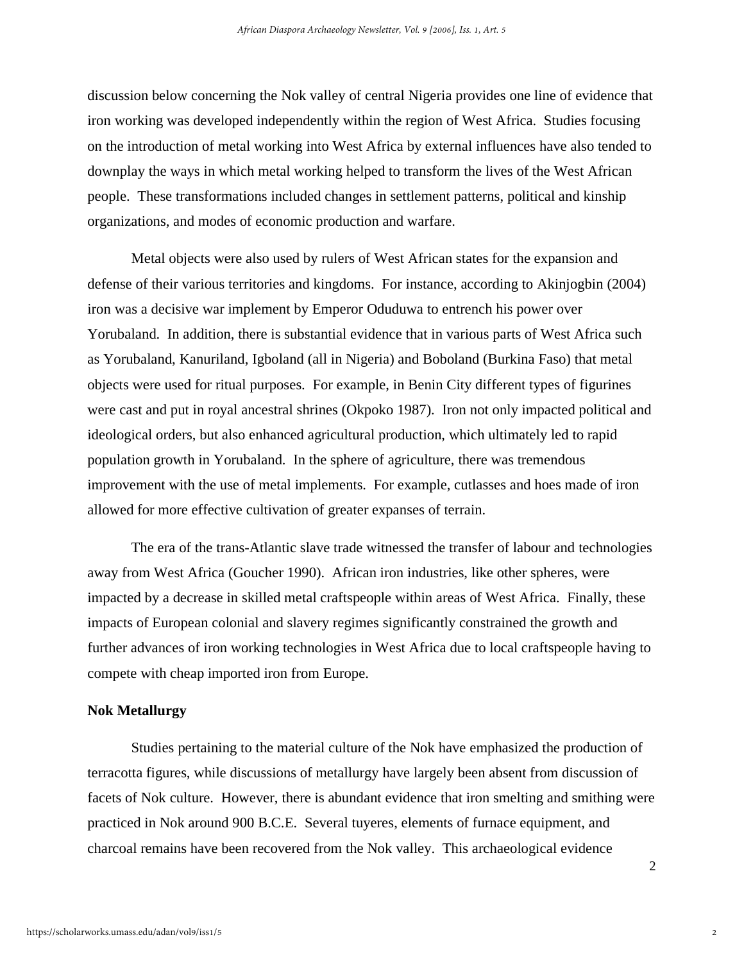discussion below concerning the Nok valley of central Nigeria provides one line of evidence that iron working was developed independently within the region of West Africa. Studies focusing on the introduction of metal working into West Africa by external influences have also tended to downplay the ways in which metal working helped to transform the lives of the West African people. These transformations included changes in settlement patterns, political and kinship organizations, and modes of economic production and warfare.

Metal objects were also used by rulers of West African states for the expansion and defense of their various territories and kingdoms. For instance, according to Akinjogbin (2004) iron was a decisive war implement by Emperor Oduduwa to entrench his power over Yorubaland. In addition, there is substantial evidence that in various parts of West Africa such as Yorubaland, Kanuriland, Igboland (all in Nigeria) and Boboland (Burkina Faso) that metal objects were used for ritual purposes. For example, in Benin City different types of figurines were cast and put in royal ancestral shrines (Okpoko 1987). Iron not only impacted political and ideological orders, but also enhanced agricultural production, which ultimately led to rapid population growth in Yorubaland. In the sphere of agriculture, there was tremendous improvement with the use of metal implements. For example, cutlasses and hoes made of iron allowed for more effective cultivation of greater expanses of terrain.

The era of the trans-Atlantic slave trade witnessed the transfer of labour and technologies away from West Africa (Goucher 1990). African iron industries, like other spheres, were impacted by a decrease in skilled metal craftspeople within areas of West Africa. Finally, these impacts of European colonial and slavery regimes significantly constrained the growth and further advances of iron working technologies in West Africa due to local craftspeople having to compete with cheap imported iron from Europe.

#### **Nok Metallurgy**

Studies pertaining to the material culture of the Nok have emphasized the production of terracotta figures, while discussions of metallurgy have largely been absent from discussion of facets of Nok culture. However, there is abundant evidence that iron smelting and smithing were practiced in Nok around 900 B.C.E. Several tuyeres, elements of furnace equipment, and charcoal remains have been recovered from the Nok valley. This archaeological evidence

 $\mathfrak{D}$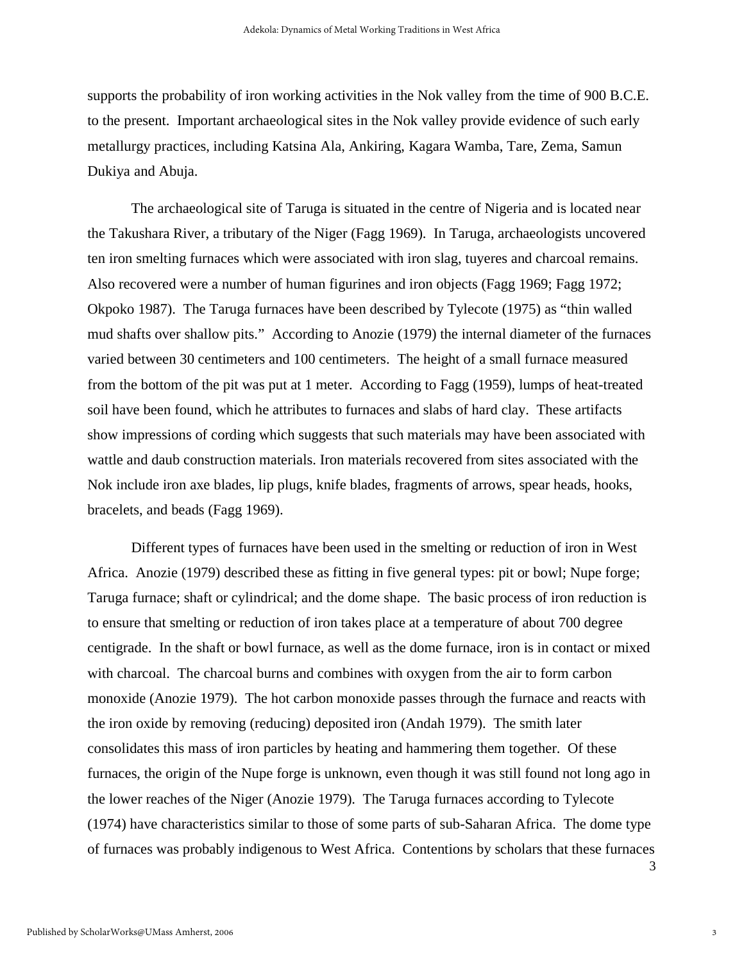supports the probability of iron working activities in the Nok valley from the time of 900 B.C.E. to the present. Important archaeological sites in the Nok valley provide evidence of such early metallurgy practices, including Katsina Ala, Ankiring, Kagara Wamba, Tare, Zema, Samun Dukiya and Abuja.

The archaeological site of Taruga is situated in the centre of Nigeria and is located near the Takushara River, a tributary of the Niger (Fagg 1969). In Taruga, archaeologists uncovered ten iron smelting furnaces which were associated with iron slag, tuyeres and charcoal remains. Also recovered were a number of human figurines and iron objects (Fagg 1969; Fagg 1972; Okpoko 1987). The Taruga furnaces have been described by Tylecote (1975) as "thin walled mud shafts over shallow pits." According to Anozie (1979) the internal diameter of the furnaces varied between 30 centimeters and 100 centimeters. The height of a small furnace measured from the bottom of the pit was put at 1 meter. According to Fagg (1959), lumps of heat-treated soil have been found, which he attributes to furnaces and slabs of hard clay. These artifacts show impressions of cording which suggests that such materials may have been associated with wattle and daub construction materials. Iron materials recovered from sites associated with the Nok include iron axe blades, lip plugs, knife blades, fragments of arrows, spear heads, hooks, bracelets, and beads (Fagg 1969).

Different types of furnaces have been used in the smelting or reduction of iron in West Africa. Anozie (1979) described these as fitting in five general types: pit or bowl; Nupe forge; Taruga furnace; shaft or cylindrical; and the dome shape. The basic process of iron reduction is to ensure that smelting or reduction of iron takes place at a temperature of about 700 degree centigrade. In the shaft or bowl furnace, as well as the dome furnace, iron is in contact or mixed with charcoal. The charcoal burns and combines with oxygen from the air to form carbon monoxide (Anozie 1979). The hot carbon monoxide passes through the furnace and reacts with the iron oxide by removing (reducing) deposited iron (Andah 1979). The smith later consolidates this mass of iron particles by heating and hammering them together. Of these furnaces, the origin of the Nupe forge is unknown, even though it was still found not long ago in the lower reaches of the Niger (Anozie 1979). The Taruga furnaces according to Tylecote (1974) have characteristics similar to those of some parts of sub-Saharan Africa. The dome type of furnaces was probably indigenous to West Africa. Contentions by scholars that these furnaces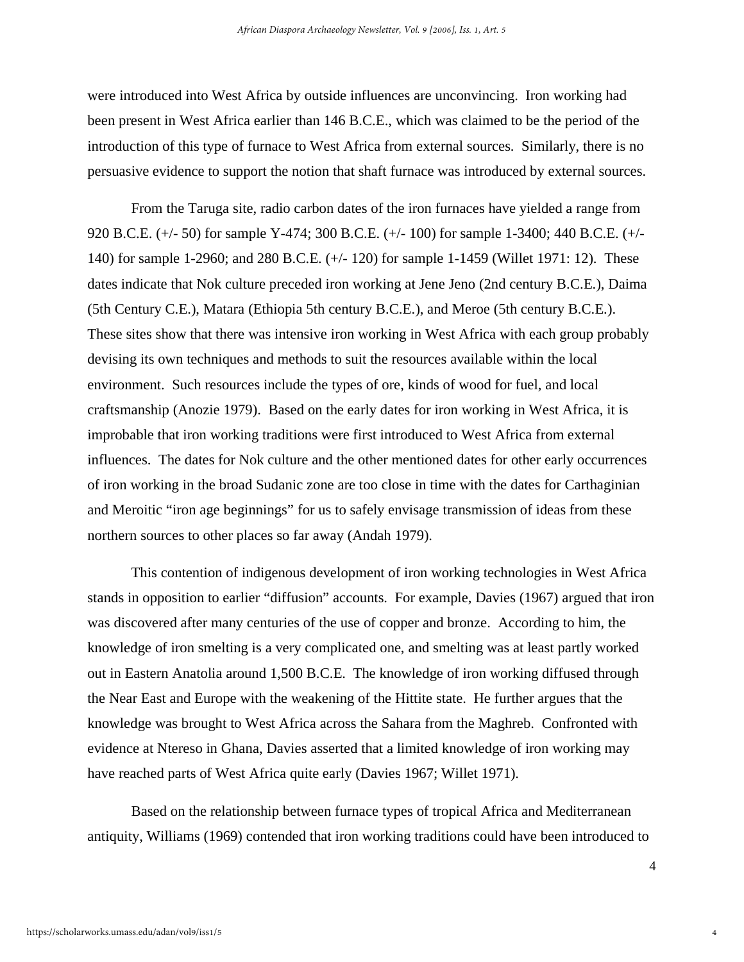were introduced into West Africa by outside influences are unconvincing. Iron working had been present in West Africa earlier than 146 B.C.E., which was claimed to be the period of the introduction of this type of furnace to West Africa from external sources. Similarly, there is no persuasive evidence to support the notion that shaft furnace was introduced by external sources.

From the Taruga site, radio carbon dates of the iron furnaces have yielded a range from 920 B.C.E. (+/- 50) for sample Y-474; 300 B.C.E. (+/- 100) for sample 1-3400; 440 B.C.E. (+/- 140) for sample 1-2960; and 280 B.C.E. (+/- 120) for sample 1-1459 (Willet 1971: 12). These dates indicate that Nok culture preceded iron working at Jene Jeno (2nd century B.C.E.), Daima (5th Century C.E.), Matara (Ethiopia 5th century B.C.E.), and Meroe (5th century B.C.E.). These sites show that there was intensive iron working in West Africa with each group probably devising its own techniques and methods to suit the resources available within the local environment. Such resources include the types of ore, kinds of wood for fuel, and local craftsmanship (Anozie 1979). Based on the early dates for iron working in West Africa, it is improbable that iron working traditions were first introduced to West Africa from external influences. The dates for Nok culture and the other mentioned dates for other early occurrences of iron working in the broad Sudanic zone are too close in time with the dates for Carthaginian and Meroitic "iron age beginnings" for us to safely envisage transmission of ideas from these northern sources to other places so far away (Andah 1979).

This contention of indigenous development of iron working technologies in West Africa stands in opposition to earlier "diffusion" accounts. For example, Davies (1967) argued that iron was discovered after many centuries of the use of copper and bronze. According to him, the knowledge of iron smelting is a very complicated one, and smelting was at least partly worked out in Eastern Anatolia around 1,500 B.C.E. The knowledge of iron working diffused through the Near East and Europe with the weakening of the Hittite state. He further argues that the knowledge was brought to West Africa across the Sahara from the Maghreb. Confronted with evidence at Ntereso in Ghana, Davies asserted that a limited knowledge of iron working may have reached parts of West Africa quite early (Davies 1967; Willet 1971).

Based on the relationship between furnace types of tropical Africa and Mediterranean antiquity, Williams (1969) contended that iron working traditions could have been introduced to

4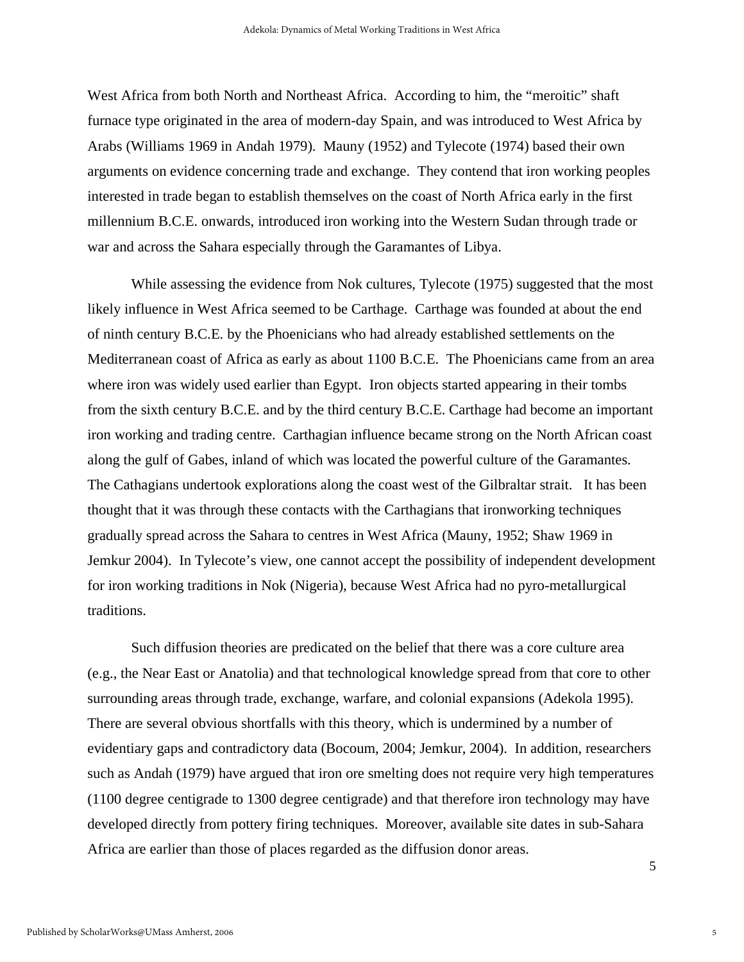West Africa from both North and Northeast Africa. According to him, the "meroitic" shaft furnace type originated in the area of modern-day Spain, and was introduced to West Africa by Arabs (Williams 1969 in Andah 1979). Mauny (1952) and Tylecote (1974) based their own arguments on evidence concerning trade and exchange. They contend that iron working peoples interested in trade began to establish themselves on the coast of North Africa early in the first millennium B.C.E. onwards, introduced iron working into the Western Sudan through trade or war and across the Sahara especially through the Garamantes of Libya.

While assessing the evidence from Nok cultures, Tylecote (1975) suggested that the most likely influence in West Africa seemed to be Carthage. Carthage was founded at about the end of ninth century B.C.E. by the Phoenicians who had already established settlements on the Mediterranean coast of Africa as early as about 1100 B.C.E. The Phoenicians came from an area where iron was widely used earlier than Egypt. Iron objects started appearing in their tombs from the sixth century B.C.E. and by the third century B.C.E. Carthage had become an important iron working and trading centre. Carthagian influence became strong on the North African coast along the gulf of Gabes, inland of which was located the powerful culture of the Garamantes. The Cathagians undertook explorations along the coast west of the Gilbraltar strait. It has been thought that it was through these contacts with the Carthagians that ironworking techniques gradually spread across the Sahara to centres in West Africa (Mauny, 1952; Shaw 1969 in Jemkur 2004). In Tylecote's view, one cannot accept the possibility of independent development for iron working traditions in Nok (Nigeria), because West Africa had no pyro-metallurgical traditions.

Such diffusion theories are predicated on the belief that there was a core culture area (e.g., the Near East or Anatolia) and that technological knowledge spread from that core to other surrounding areas through trade, exchange, warfare, and colonial expansions (Adekola 1995). There are several obvious shortfalls with this theory, which is undermined by a number of evidentiary gaps and contradictory data (Bocoum, 2004; Jemkur, 2004). In addition, researchers such as Andah (1979) have argued that iron ore smelting does not require very high temperatures (1100 degree centigrade to 1300 degree centigrade) and that therefore iron technology may have developed directly from pottery firing techniques. Moreover, available site dates in sub-Sahara Africa are earlier than those of places regarded as the diffusion donor areas.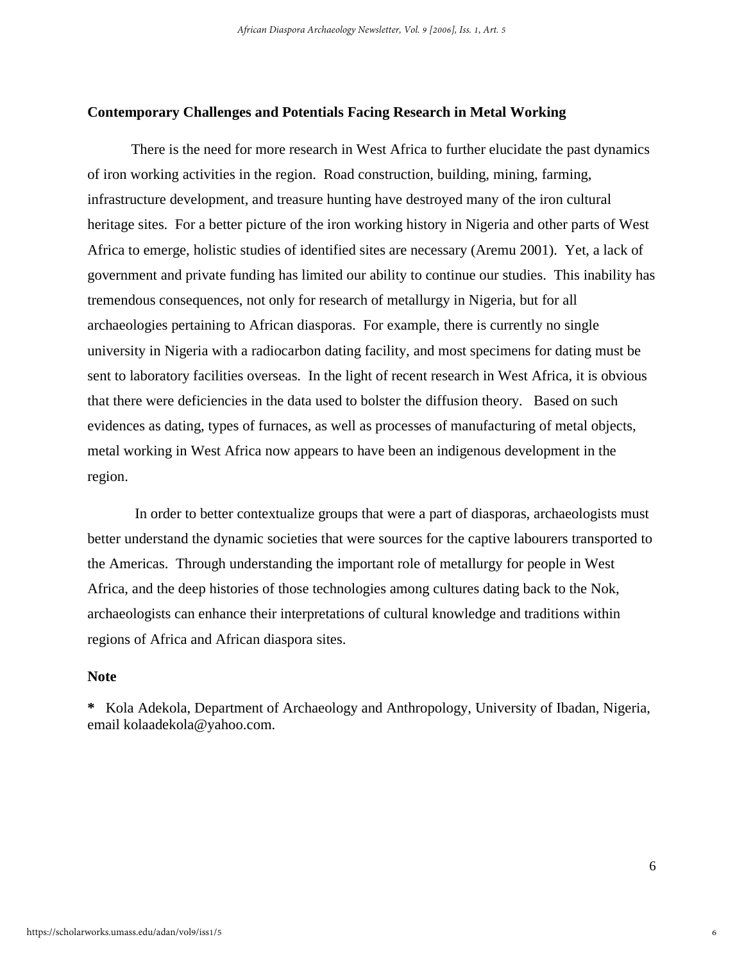#### **Contemporary Challenges and Potentials Facing Research in Metal Working**

There is the need for more research in West Africa to further elucidate the past dynamics of iron working activities in the region. Road construction, building, mining, farming, infrastructure development, and treasure hunting have destroyed many of the iron cultural heritage sites. For a better picture of the iron working history in Nigeria and other parts of West Africa to emerge, holistic studies of identified sites are necessary (Aremu 2001). Yet, a lack of government and private funding has limited our ability to continue our studies. This inability has tremendous consequences, not only for research of metallurgy in Nigeria, but for all archaeologies pertaining to African diasporas. For example, there is currently no single university in Nigeria with a radiocarbon dating facility, and most specimens for dating must be sent to laboratory facilities overseas. In the light of recent research in West Africa, it is obvious that there were deficiencies in the data used to bolster the diffusion theory. Based on such evidences as dating, types of furnaces, as well as processes of manufacturing of metal objects, metal working in West Africa now appears to have been an indigenous development in the region.

In order to better contextualize groups that were a part of diasporas, archaeologists must better understand the dynamic societies that were sources for the captive labourers transported to the Americas. Through understanding the important role of metallurgy for people in West Africa, and the deep histories of those technologies among cultures dating back to the Nok, archaeologists can enhance their interpretations of cultural knowledge and traditions within regions of Africa and African diaspora sites.

#### **Note**

**\*** Kola Adekola, Department of Archaeology and Anthropology, University of Ibadan, Nigeria, email [kolaadekola@yahoo.com.](mailto:kolaadekola@yahoo.com)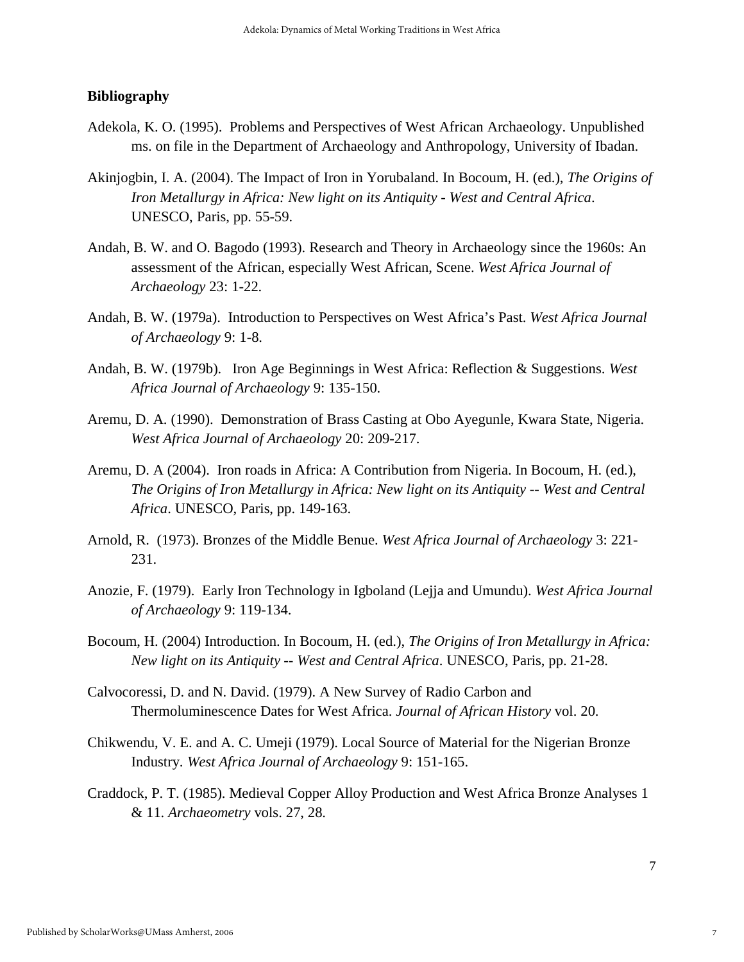#### **Bibliography**

- Adekola, K. O. (1995). Problems and Perspectives of West African Archaeology. Unpublished ms. on file in the Department of Archaeology and Anthropology, University of Ibadan.
- Akinjogbin, I. A. (2004). The Impact of Iron in Yorubaland. In Bocoum, H. (ed.), *The Origins of Iron Metallurgy in Africa: New light on its Antiquity - West and Central Africa*. UNESCO, Paris, pp. 55-59.
- Andah, B. W. and O. Bagodo (1993). Research and Theory in Archaeology since the 1960s: An assessment of the African, especially West African, Scene. *West Africa Journal of Archaeology* 23: 1-22.
- Andah, B. W. (1979a). Introduction to Perspectives on West Africa's Past. *West Africa Journal of Archaeology* 9: 1-8.
- Andah, B. W. (1979b). Iron Age Beginnings in West Africa: Reflection & Suggestions. *West Africa Journal of Archaeology* 9: 135-150.
- Aremu, D. A. (1990). Demonstration of Brass Casting at Obo Ayegunle, Kwara State, Nigeria. *West Africa Journal of Archaeology* 20: 209-217.
- Aremu, D. A (2004). Iron roads in Africa: A Contribution from Nigeria. In Bocoum, H. (ed.), *The Origins of Iron Metallurgy in Africa: New light on its Antiquity -- West and Central Africa*. UNESCO, Paris, pp. 149-163.
- Arnold, R. (1973). Bronzes of the Middle Benue. *West Africa Journal of Archaeology* 3: 221- 231.
- Anozie, F. (1979). Early Iron Technology in Igboland (Lejja and Umundu). *West Africa Journal of Archaeology* 9: 119-134.
- Bocoum, H. (2004) Introduction. In Bocoum, H. (ed.), *The Origins of Iron Metallurgy in Africa: New light on its Antiquity -- West and Central Africa*. UNESCO, Paris, pp. 21-28.
- Calvocoressi, D. and N. David. (1979). A New Survey of Radio Carbon and Thermoluminescence Dates for West Africa. *Journal of African History* vol. 20.
- Chikwendu, V. E. and A. C. Umeji (1979). Local Source of Material for the Nigerian Bronze Industry. *West Africa Journal of Archaeology* 9: 151-165.
- Craddock, P. T. (1985). Medieval Copper Alloy Production and West Africa Bronze Analyses 1 & 11. *Archaeometry* vols. 27, 28.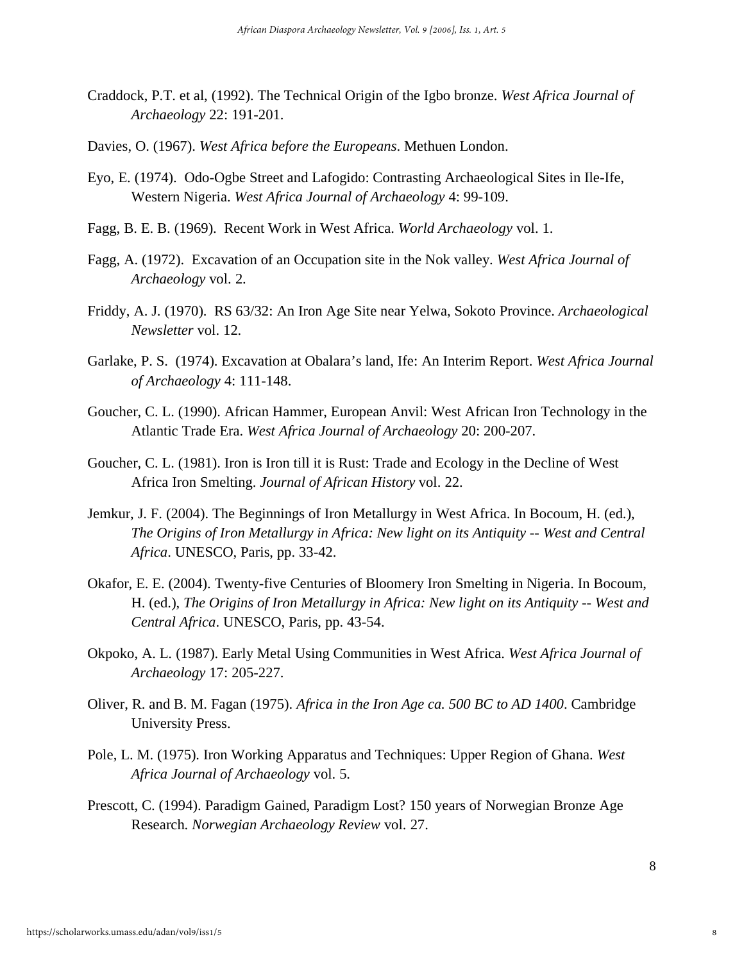- Craddock, P.T. et al, (1992). The Technical Origin of the Igbo bronze. *West Africa Journal of Archaeology* 22: 191-201.
- Davies, O. (1967). *West Africa before the Europeans*. Methuen London.
- Eyo, E. (1974). Odo-Ogbe Street and Lafogido: Contrasting Archaeological Sites in Ile-Ife, Western Nigeria. *West Africa Journal of Archaeology* 4: 99-109.
- Fagg, B. E. B. (1969). Recent Work in West Africa. *World Archaeology* vol. 1.
- Fagg, A. (1972). Excavation of an Occupation site in the Nok valley. *West Africa Journal of Archaeology* vol. 2.
- Friddy, A. J. (1970). RS 63/32: An Iron Age Site near Yelwa, Sokoto Province. *Archaeological Newsletter* vol. 12.
- Garlake, P. S. (1974). Excavation at Obalara's land, Ife: An Interim Report. *West Africa Journal of Archaeology* 4: 111-148.
- Goucher, C. L. (1990). African Hammer, European Anvil: West African Iron Technology in the Atlantic Trade Era. *West Africa Journal of Archaeology* 20: 200-207.
- Goucher, C. L. (1981). Iron is Iron till it is Rust: Trade and Ecology in the Decline of West Africa Iron Smelting. *Journal of African History* vol. 22.
- Jemkur, J. F. (2004). The Beginnings of Iron Metallurgy in West Africa. In Bocoum, H. (ed.), *The Origins of Iron Metallurgy in Africa: New light on its Antiquity -- West and Central Africa*. UNESCO, Paris, pp. 33-42.
- Okafor, E. E. (2004). Twenty-five Centuries of Bloomery Iron Smelting in Nigeria. In Bocoum, H. (ed.), *The Origins of Iron Metallurgy in Africa: New light on its Antiquity -- West and Central Africa*. UNESCO, Paris, pp. 43-54.
- Okpoko, A. L. (1987). Early Metal Using Communities in West Africa. *West Africa Journal of Archaeology* 17: 205-227.
- Oliver, R. and B. M. Fagan (1975). *Africa in the Iron Age ca. 500 BC to AD 1400*. Cambridge University Press.
- Pole, L. M. (1975). Iron Working Apparatus and Techniques: Upper Region of Ghana. *West Africa Journal of Archaeology* vol. 5.
- Prescott, C. (1994). Paradigm Gained, Paradigm Lost? 150 years of Norwegian Bronze Age Research. *Norwegian Archaeology Review* vol. 27.